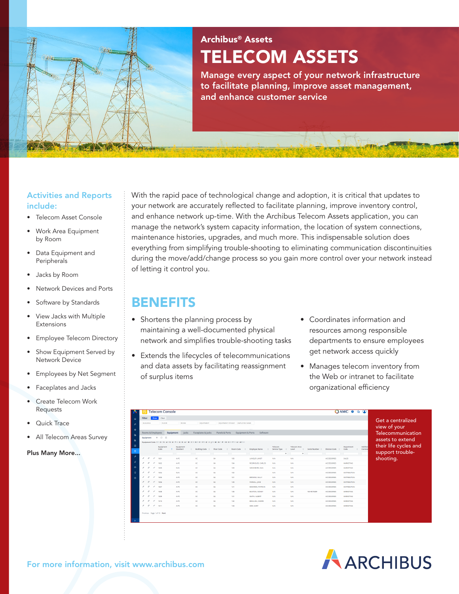

# Archibus® Assets TELECOM ASSETS

Manage every aspect of your network infrastructure to facilitate planning, improve asset management, and enhance customer service

#### Activities and Reports include:

- Telecom Asset Console
- Work Area Equipment by Room
- Data Equipment and **Peripherals**
- Jacks by Room
- Network Devices and Ports
- Software by Standards
- View Jacks with Multiple **Extensions**
- Employee Telecom Directory
- Show Equipment Served by Network Device
- Employees by Net Segment
- Faceplates and Jacks
- Create Telecom Work **Requests**
- Quick Trace
- All Telecom Areas Survey

#### Plus Many More...

With the rapid pace of technological change and adoption, it is critical that updates to your network are accurately reflected to facilitate planning, improve inventory control, and enhance network up-time. With the Archibus Telecom Assets application, you can manage the network's system capacity information, the location of system connections, maintenance histories, upgrades, and much more. This indispensable solution does everything from simplifying trouble-shooting to eliminating communication discontinuities during the move/add/change process so you gain more control over your network instead of letting it control you.

# **BENEFITS**

- Shortens the planning process by maintaining a well-documented physical network and simplifies trouble-shooting tasks
- Extends the lifecycles of telecommunications and data assets by facilitating reassignment of surplus items
- Coordinates information and resources among responsible departments to ensure employees get network access quickly
- Manages telecom inventory from the Web or intranet to facilitate organizational efficiency

|   |            | <b>BULDING</b> |               | <b>FLOOR</b>                                     |    | ROOM                            | EQUIPMENT          |                                                                                                                      | EQUIPMENT STANDA EMPLOYEE NAME |                          |                                |                              |                 |                      |                           |                   |
|---|------------|----------------|---------------|--------------------------------------------------|----|---------------------------------|--------------------|----------------------------------------------------------------------------------------------------------------------|--------------------------------|--------------------------|--------------------------------|------------------------------|-----------------|----------------------|---------------------------|-------------------|
|   |            |                |               |                                                  |    |                                 |                    |                                                                                                                      |                                |                          |                                |                              |                 |                      |                           |                   |
|   |            |                |               | Rooms & Employees<br>Equipment                   |    | lacks                           | Faceplates & Jacks | Panels & Ports                                                                                                       | <b>Equipment &amp; Ports</b>   | Software                 |                                |                              |                 |                      |                           |                   |
|   |            |                |               | Equipment + 0 Å                                  |    |                                 |                    |                                                                                                                      |                                |                          |                                |                              |                 |                      |                           |                   |
|   |            |                |               |                                                  |    |                                 |                    | Equipment Code: 174 244 34 444 51 61 7144 84 94 A11 81 C165 D10 E11 F11 61 16 176 M4 N11 P16 R4 S114 T100 U1 All 141 |                                |                          |                                |                              |                 |                      |                           |                   |
|   |            |                |               | Equipment<br>Code                                | ٠. | Equipment<br>Standard<br>$\sim$ | Building Code 0    | Floor Code<br>$\mathcal{L}^{\mathcal{L}}$                                                                            | Room Code                      | <b>Employee Name</b>     | Telecom<br>Service Type<br>$=$ | <b>Telecom Area</b><br>Level | Serial Number 0 | <b>Division Code</b> | <b>Department</b><br>Code | Addition<br>Comme |
|   |            |                |               |                                                  |    |                                 |                    |                                                                                                                      |                                |                          | $\mathbf{r}$                   | ٠.                           |                 |                      |                           |                   |
| , |            | $\mathcal{P}$  | $_{\rm N}$    | 1001                                             |    | A-PC                            | XC.                | 04                                                                                                                   | 105                            | LANGLEY, IANET           | N/A                            | NA                           |                 | <b>ACCESSORIES</b>   | SALES                     |                   |
|   | $\prime$ 0 |                | N.            | 1002                                             |    | A-PC                            | XC.                | 04                                                                                                                   | 104                            | RODRIGUES, CARLOS        | N/A                            | N/A                          |                 | <b>ACCESSORIES</b>   | <b>MARKETING</b>          |                   |
| , |            | $\mathcal{P}$  | N.            | 1003                                             |    | \$0.84                          | XC.                | 04                                                                                                                   | 103                            | NEIGHBORS, DAN           | N/A                            | N/A                          |                 | ACCESSORIES          | <b>MARKETING</b>          |                   |
| ı |            | $\theta$       | ñ             | 1004                                             |    | \$08                            | XC.                | 04                                                                                                                   | 102                            |                          | N/A                            | N/A                          |                 | <b>ACCESSORIES</b>   | <b>DISTRIBUTION</b>       |                   |
| v |            | o              | st.           | 1005                                             |    | A-PC                            | XC.                | 64                                                                                                                   | 101                            | BROWNE, SALLY            | N/A                            | NA                           |                 | <b>ACCESSORIES</b>   | <b>DISTRIBUTION</b>       |                   |
| , |            | $\cal{O}$      | $\mathcal{N}$ | 1006                                             |    | A-PC                            | XC.                | 04                                                                                                                   | 120                            | FARNELL, JANE            | N/A.                           | NA                           |                 | <b>ACCESSORIES</b>   | <b>DISTRIBUTION</b>       |                   |
|   | $\prime$ 0 |                | ×.            | 1007                                             |    | A-PC                            | $\chi$             | 04                                                                                                                   | 121                            | <b>EDWARDS, PATRICIA</b> | N/A                            | N/A                          |                 | <b>ACCESSORIES</b>   | <b>DISTRIBUTION</b>       |                   |
|   | $\prime$ 0 |                | N.            | 1008                                             |    | A-PC                            | XC.                | 04                                                                                                                   | 130                            | BUNTON, SIDNEY           | N/A                            | N/A                          | WS-9875089      | <b>ACCESSORIES</b>   | <b>MARKETING</b>          |                   |
| , |            | $\mathcal{P}$  | ñ             | 1009                                             |    | A-PC.                           | XC.                | 04                                                                                                                   | 131                            | SMITH, ALBERT            | N/A.                           | N/A                          |                 | <b>ACCESSORIES</b>   | <b>MARKETING</b>          |                   |
|   | $\prime$ 0 |                |               | $\mathbb{R}^2=1010$                              |    | A-PC                            | XC.                | 04                                                                                                                   | 132                            | BEAULIEU, ANDRE          | N/A                            | NA                           |                 | <b>ACCESSORIES</b>   | <b>MARGITING</b>          |                   |
|   |            |                |               | $\mathscr{E} = \mathscr{E} = \mathscr{E} = 1011$ |    | A-PC                            | XC.                | 04                                                                                                                   | 133                            | DEW, GARY                | N/A                            | N/A                          |                 | <b>ACCESSORIES</b>   | <b>MARKETING</b>          |                   |

r life cycles and port troubleoting.

a centralized v of your communication ets to extend